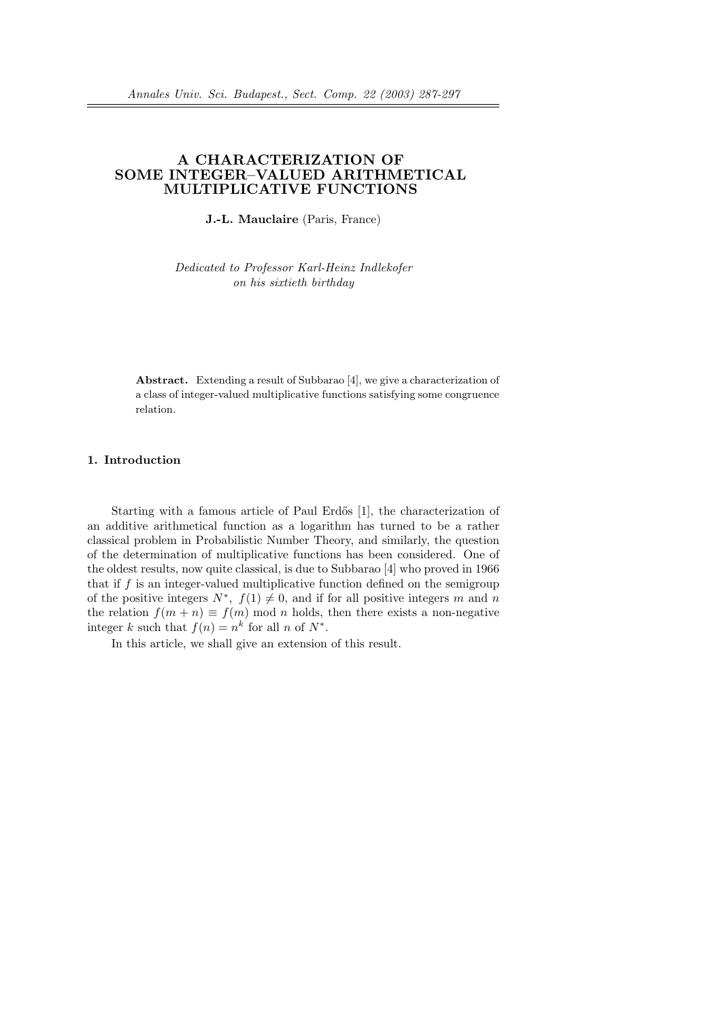# A CHARACTERIZATION OF SOME INTEGER–VALUED ARITHMETICAL MULTIPLICATIVE FUNCTIONS

J.-L. Mauclaire (Paris, France)

Dedicated to Professor Karl-Heinz Indlekofer on his sixtieth birthday

Abstract. Extending a result of Subbarao [4], we give a characterization of a class of integer-valued multiplicative functions satisfying some congruence relation.

## 1. Introduction

Starting with a famous article of Paul Erdős [1], the characterization of an additive arithmetical function as a logarithm has turned to be a rather classical problem in Probabilistic Number Theory, and similarly, the question of the determination of multiplicative functions has been considered. One of the oldest results, now quite classical, is due to Subbarao [4] who proved in 1966 that if  $f$  is an integer-valued multiplicative function defined on the semigroup of the positive integers  $N^*$ ,  $f(1) \neq 0$ , and if for all positive integers m and n the relation  $f(m + n) \equiv f(m) \mod n$  holds, then there exists a non-negative integer k such that  $f(n) = n^k$  for all n of  $N^*$ .

In this article, we shall give an extension of this result.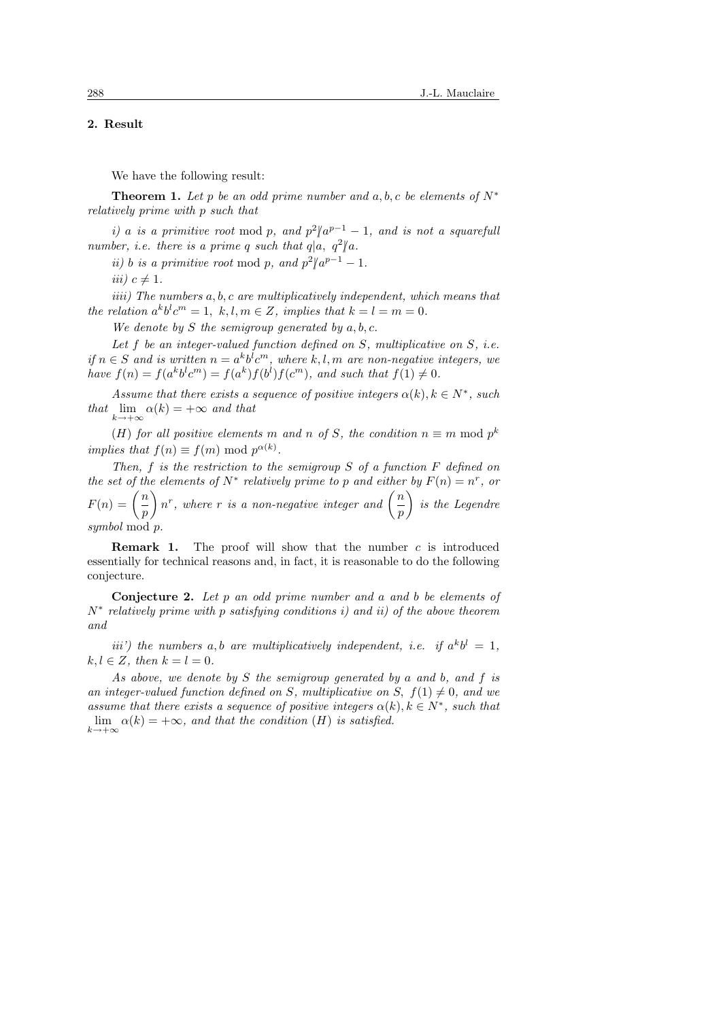## 2. Result

We have the following result:

**Theorem 1.** Let p be an odd prime number and a, b, c be elements of  $N^*$ relatively prime with p such that

i) a is a primitive root mod p, and  $p^2/a^{p-1} - 1$ , and is not a squarefuli number, i.e. there is a prime q such that  $q|a, q^2|a$ .

*ii*) *b* is a primitive root mod p, and  $p^2/a^{p-1} - 1$ .

iii)  $c \neq 1$ .

iiii) The numbers a, b, c are multiplicatively independent, which means that the relation  $a^k b^l c^m = 1, k, l, m \in \mathbb{Z}$ , implies that  $k = l = m = 0$ .

We denote by S the semigroup generated by  $a, b, c$ .

Let  $f$  be an integer-valued function defined on  $S$ , multiplicative on  $S$ , i.e. if  $n \in S$  and is written  $n = a^k b^l c^m$ , where k, l, m are non-negative integers, we have  $f(n) = f(a^k b^l c^m) = f(a^k) f(b^l) f(c^m)$ , and such that  $f(1) \neq 0$ .

Assume that there exists a sequence of positive integers  $\alpha(k)$ ,  $k \in N^*$ , such that  $\lim_{k \to +\infty} \alpha(k) = +\infty$  and that

(H) for all positive elements m and n of S, the condition  $n \equiv m \mod p^k$ implies that  $f(n) \equiv f(m) \bmod p^{\alpha(k)}$ .

Then, f is the restriction to the semigroup  $S$  of a function  $F$  defined on the set of the elements of  $N^*$  relatively prime to p and either by  $F(n) = n^r$ , or  $F(n) = \left(\frac{n}{n}\right)$  $\left(\frac{n}{p}\right)n^r$ , where r is a non-negative integer and  $\left(\frac{n}{p}\right)$  $\left(\frac{n}{p}\right)$  is the Legendre symbol mod p.

**Remark 1.** The proof will show that the number  $c$  is introduced essentially for technical reasons and, in fact, it is reasonable to do the following conjecture.

Conjecture 2. Let p an odd prime number and a and b be elements of  $N^*$  relatively prime with p satisfying conditions i) and ii) of the above theorem and

iii') the numbers a, b are multiplicatively independent, i.e. if  $a^k b^l = 1$ ,  $k, l \in \mathbb{Z}$ , then  $k = l = 0$ .

As above, we denote by  $S$  the semigroup generated by a and b, and  $f$  is an integer-valued function defined on S, multiplicative on S,  $f(1) \neq 0$ , and we assume that there exists a sequence of positive integers  $\alpha(k)$ ,  $k \in N^*$ , such that lim  $\alpha(k) = +\infty$ , and that the condition (H) is satisfied.  $k \rightarrow +\infty$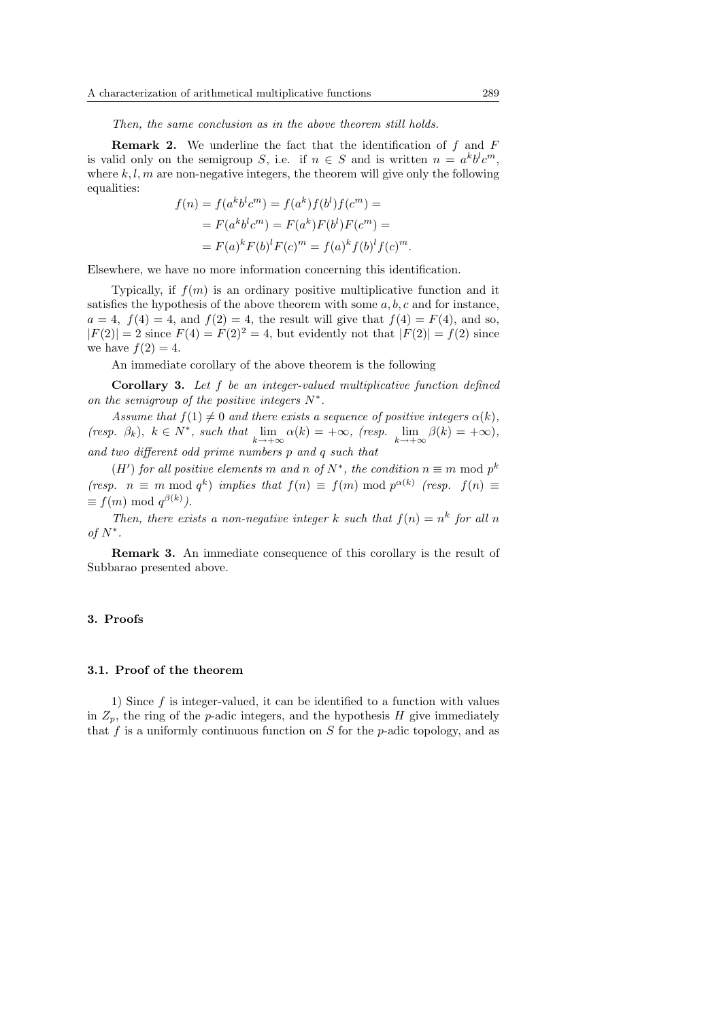Then, the same conclusion as in the above theorem still holds.

**Remark 2.** We underline the fact that the identification of  $f$  and  $F$ is valid only on the semigroup S, i.e. if  $n \in S$  and is written  $n = a^k b^l c^m$ , where  $k, l, m$  are non-negative integers, the theorem will give only the following equalities:

$$
f(n) = f(a^k b^l c^m) = f(a^k) f(b^l) f(c^m) =
$$
  
=  $F(a^k b^l c^m) = F(a^k) F(b^l) F(c^m) =$   
=  $F(a)^k F(b)^l F(c)^m = f(a)^k f(b)^l f(c)^m.$ 

Elsewhere, we have no more information concerning this identification.

Typically, if  $f(m)$  is an ordinary positive multiplicative function and it satisfies the hypothesis of the above theorem with some  $a, b, c$  and for instance,  $a = 4$ ,  $f(4) = 4$ , and  $f(2) = 4$ , the result will give that  $f(4) = F(4)$ , and so,  $|F(2)| = 2$  since  $F(4) = F(2)^2 = 4$ , but evidently not that  $|F(2)| = f(2)$  since we have  $f(2) = 4$ .

An immediate corollary of the above theorem is the following

Corollary 3. Let f be an integer-valued multiplicative function defined on the semigroup of the positive integers  $N^*$ .

Assume that  $f(1) \neq 0$  and there exists a sequence of positive integers  $\alpha(k)$ , (resp.  $\beta_k$ ),  $k \in N^*$ , such that  $\lim_{k \to +\infty} \alpha(k) = +\infty$ , (resp.  $\lim_{k \to +\infty} \beta(k) = +\infty$ ), and two different odd prime numbers p and q such that

 $(H')$  for all positive elements m and n of  $N^*$ , the condition  $n \equiv m \mod p^k$ (resp.  $n \equiv m \mod q^k$ ) implies that  $f(n) \equiv f(m) \mod p^{\alpha(k)}$  (resp.  $f(n) \equiv$  $\equiv f(m) \bmod q^{\beta(k)}$ .

Then, there exists a non-negative integer k such that  $f(n) = n^k$  for all n of  $N^*$ .

Remark 3. An immediate consequence of this corollary is the result of Subbarao presented above.

#### 3. Proofs

### 3.1. Proof of the theorem

1) Since  $f$  is integer-valued, it can be identified to a function with values in  $Z_p$ , the ring of the p-adic integers, and the hypothesis H give immediately that f is a uniformly continuous function on  $S$  for the p-adic topology, and as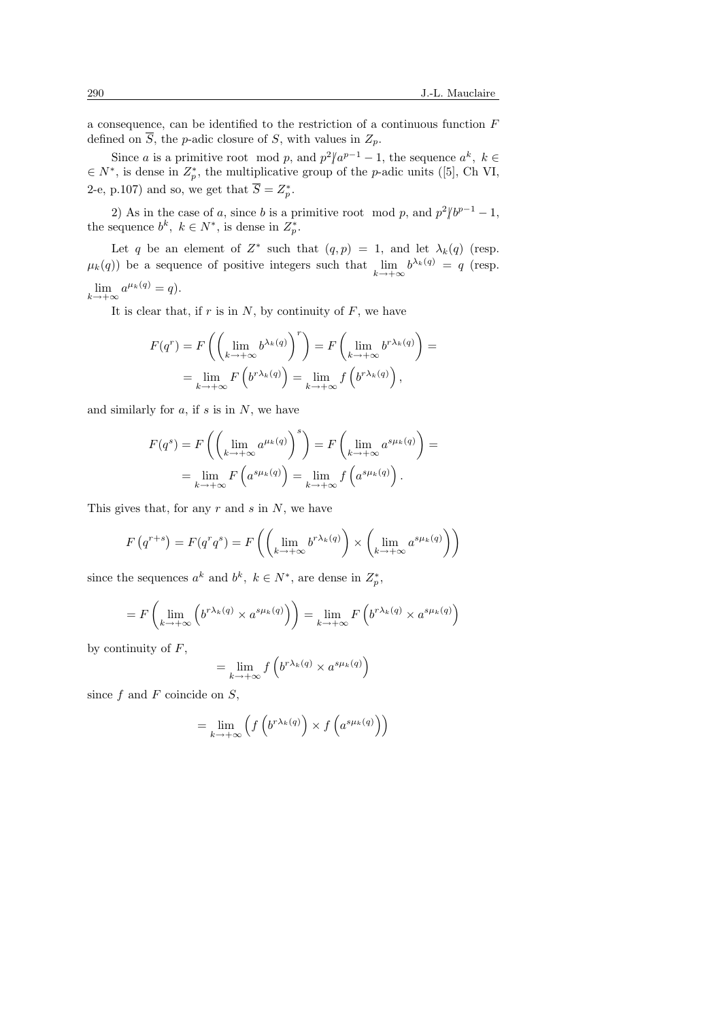a consequence, can be identified to the restriction of a continuous function F defined on  $\overline{S}$ , the *p*-adic closure of *S*, with values in  $Z_p$ .

Since a is a primitive root mod p, and  $p^2/a^{p-1} - 1$ , the sequence  $a^k$ ,  $k \in$  $\in N^*$ , is dense in  $Z_p^*$ , the multiplicative group of the *p*-adic units ([5], Ch VI, 2-e, p.107) and so, we get that  $\overline{S} = Z_p^*$ .

2) As in the case of a, since b is a primitive root mod p, and  $p^2/b^{p-1}-1$ , the sequence  $b^k$ ,  $k \in N^*$ , is dense in  $Z_p^*$ .

Let q be an element of  $Z^*$  such that  $(q, p) = 1$ , and let  $\lambda_k(q)$  (resp.  $\mu_k(q)$ ) be a sequence of positive integers such that  $\lim_{k \to +\infty} b^{\lambda_k(q)} = q$  (resp.  $\lim_{k \to +\infty} a^{\mu_k(q)} = q.$ 

It is clear that, if  $r$  is in  $N$ , by continuity of  $F$ , we have

$$
F(q^r) = F\left(\left(\lim_{k \to +\infty} b^{\lambda_k(q)}\right)^r\right) = F\left(\lim_{k \to +\infty} b^{r\lambda_k(q)}\right) =
$$

$$
= \lim_{k \to +\infty} F\left(b^{r\lambda_k(q)}\right) = \lim_{k \to +\infty} f\left(b^{r\lambda_k(q)}\right),
$$

and similarly for  $a$ , if  $s$  is in  $N$ , we have

$$
F(q^s) = F\left(\left(\lim_{k \to +\infty} a^{\mu_k(q)}\right)^s\right) = F\left(\lim_{k \to +\infty} a^{s\mu_k(q)}\right) =
$$
  
= 
$$
\lim_{k \to +\infty} F\left(a^{s\mu_k(q)}\right) = \lim_{k \to +\infty} f\left(a^{s\mu_k(q)}\right).
$$

This gives that, for any  $r$  and  $s$  in  $N$ , we have

$$
F(q^{r+s}) = F(q^r q^s) = F\left(\left(\lim_{k \to +\infty} b^{r\lambda_k(q)}\right) \times \left(\lim_{k \to +\infty} a^{s\mu_k(q)}\right)\right)
$$

since the sequences  $a^k$  and  $b^k$ ,  $k \in N^*$ , are dense in  $Z_p^*$ ,

$$
= F\left(\lim_{k \to +\infty} \left( b^{r\lambda_k(q)} \times a^{s\mu_k(q)} \right) \right) = \lim_{k \to +\infty} F\left( b^{r\lambda_k(q)} \times a^{s\mu_k(q)} \right)
$$

by continuity of  $F$ ,

$$
= \lim_{k \to +\infty} f\left(b^{r\lambda_k(q)} \times a^{s\mu_k(q)}\right)
$$

since  $f$  and  $F$  coincide on  $S$ ,

$$
= \lim_{k \to +\infty} \left( f\left( b^{r\lambda_k(q)} \right) \times f\left( a^{s\mu_k(q)} \right) \right)
$$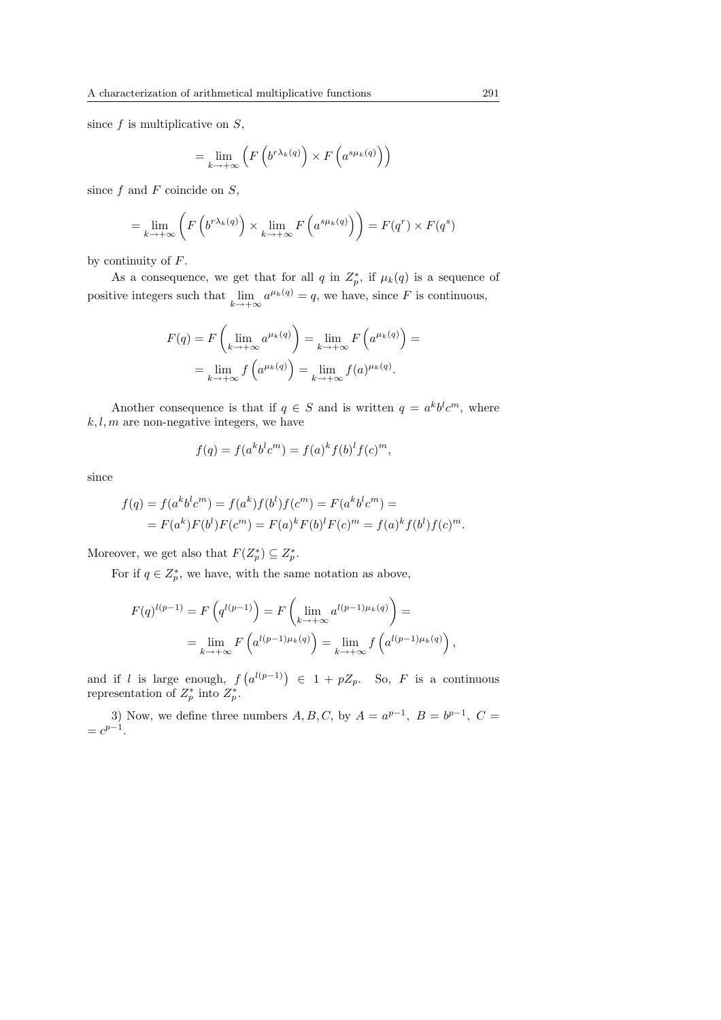since  $f$  is multiplicative on  $S$ ,

$$
= \lim_{k \to +\infty} \left( F\left( b^{r\lambda_k(q)} \right) \times F\left( a^{s\mu_k(q)} \right) \right)
$$

since  $f$  and  $F$  coincide on  $S$ ,

$$
= \lim_{k \to +\infty} \left( F\left( b^{r\lambda_k(q)} \right) \times \lim_{k \to +\infty} F\left( a^{s\mu_k(q)} \right) \right) = F(q^r) \times F(q^s)
$$

by continuity of  $F$ .

As a consequence, we get that for all q in  $Z_p^*$ , if  $\mu_k(q)$  is a sequence of positive integers such that  $\lim_{k \to +\infty} a^{\mu_k(q)} = q$ , we have, since F is continuous,

$$
F(q) = F\left(\lim_{k \to +\infty} a^{\mu_k(q)}\right) = \lim_{k \to +\infty} F\left(a^{\mu_k(q)}\right) =
$$
  
= 
$$
\lim_{k \to +\infty} f\left(a^{\mu_k(q)}\right) = \lim_{k \to +\infty} f(a)^{\mu_k(q)}.
$$

Another consequence is that if  $q \in S$  and is written  $q = a^k b^l c^m$ , where  $k, l, m$  are non-negative integers, we have

$$
f(q) = f(a^k b^l c^m) = f(a)^k f(b)^l f(c)^m,
$$

since

$$
f(q) = f(a^k b^l c^m) = f(a^k) f(b^l) f(c^m) = F(a^k b^l c^m) =
$$
  
=  $F(a^k) F(b^l) F(c^m) = F(a)^k F(b)^l F(c)^m = f(a)^k f(b^l) f(c)^m$ .

Moreover, we get also that  $F(Z_p^*) \subseteq Z_p^*$ .

For if  $q \in Z_p^*$ , we have, with the same notation as above,

$$
F(q)^{l(p-1)} = F\left(q^{l(p-1)}\right) = F\left(\lim_{k \to +\infty} a^{l(p-1)\mu_k(q)}\right) =
$$
  
= 
$$
\lim_{k \to +\infty} F\left(a^{l(p-1)\mu_k(q)}\right) = \lim_{k \to +\infty} f\left(a^{l(p-1)\mu_k(q)}\right),
$$

and if  $l$  is large enough,  $f$ ¡  $a^{l(p-1)}$   $\in$  1 +  $pZ_p$ . So, F is a continuous representation of  $Z_p^*$  into  $Z_p^*$ .

3) Now, we define three numbers  $A, B, C$ , by  $A = a^{p-1}$ ,  $B = b^{p-1}$ ,  $C =$  $= c^{p-1}.$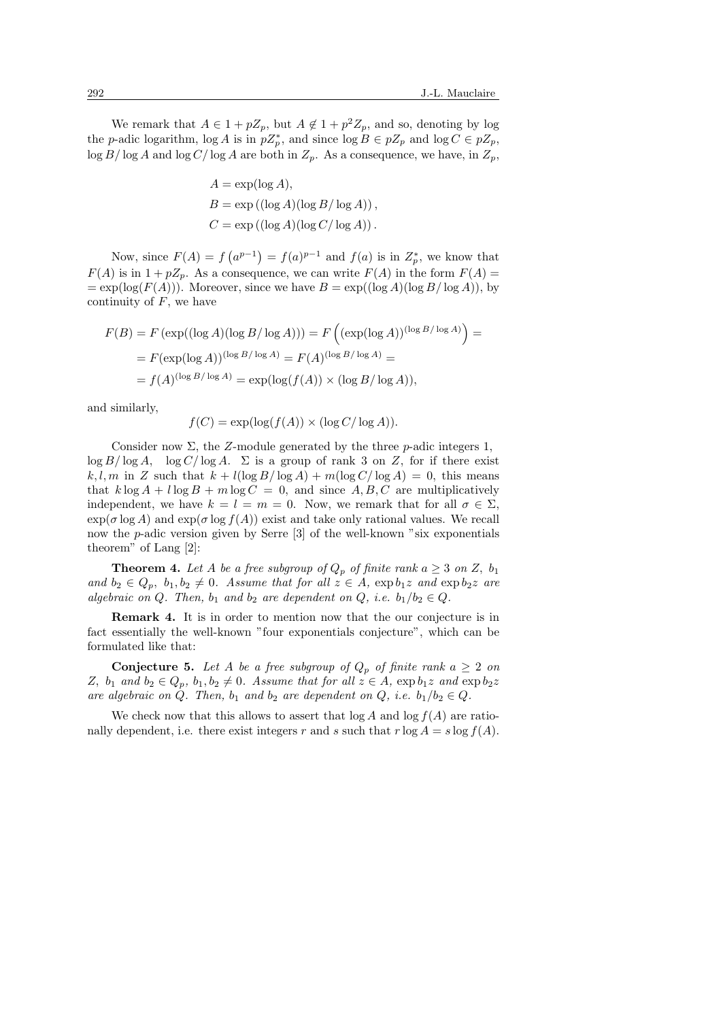We remark that  $A \in 1 + pZ_p$ , but  $A \notin 1 + p^2Z_p$ , and so, denoting by log the p-adic logarithm,  $\log A$  is in  $pZ_p^*$ , and since  $\log B \in pZ_p$  and  $\log C \in pZ_p$ ,  $\log B/\log A$  and  $\log C/\log A$  are both in  $Z_p$ . As a consequence, we have, in  $Z_p$ ,

$$
A = \exp(\log A),
$$
  
\n
$$
B = \exp((\log A)(\log B/\log A)),
$$
  
\n
$$
C = \exp((\log A)(\log C/\log A)).
$$

Now, since  $F(A) = f$ ¡  $a^{p-1}$  $=f(a)^{p-1}$  and  $f(a)$  is in  $Z_p^*$ , we know that  $F(A)$  is in  $1 + pZ_n$ . As a consequence, we can write  $F(A)$  in the form  $F(A)$  $= \exp(\log(F(A)))$ . Moreover, since we have  $B = \exp((\log A)(\log B/\log A))$ , by continuity of  $F$ , we have

$$
F(B) = F(\exp((\log A)(\log B/\log A))) = F\left((\exp(\log A))^{(\log B/\log A)}\right) =
$$
  
= 
$$
F(\exp(\log A))^{(\log B/\log A)} = F(A)^{(\log B/\log A)} =
$$
  
= 
$$
f(A)^{(\log B/\log A)} = \exp(\log(f(A)) \times (\log B/\log A)),
$$

and similarly,

$$
f(C) = \exp(\log(f(A)) \times (\log C/\log A)).
$$

Consider now  $\Sigma$ , the Z-module generated by the three p-adic integers 1,  $\log B/\log A$ ,  $\log C/\log A$ .  $\Sigma$  is a group of rank 3 on Z, for if there exist k, l, m in Z such that  $k + l(\log B/\log A) + m(\log C/\log A) = 0$ , this means that  $k \log A + l \log B + m \log C = 0$ , and since A, B, C are multiplicatively independent, we have  $k = l = m = 0$ . Now, we remark that for all  $\sigma \in \Sigma$ .  $\exp(\sigma \log A)$  and  $\exp(\sigma \log f(A))$  exist and take only rational values. We recall now the p-adic version given by Serre [3] of the well-known "six exponentials theorem" of Lang [2]:

**Theorem 4.** Let A be a free subgroup of  $Q_p$  of finite rank  $a \geq 3$  on Z,  $b_1$ and  $b_2 \in Q_p$ ,  $b_1, b_2 \neq 0$ . Assume that for all  $z \in A$ ,  $\exp b_1z$  and  $\exp b_2z$  are algebraic on Q. Then,  $b_1$  and  $b_2$  are dependent on Q, i.e.  $b_1/b_2 \in Q$ .

Remark 4. It is in order to mention now that the our conjecture is in fact essentially the well-known "four exponentials conjecture", which can be formulated like that:

**Conjecture 5.** Let A be a free subgroup of  $Q_p$  of finite rank  $a \geq 2$  on Z,  $b_1$  and  $b_2 \in Q_p$ ,  $b_1, b_2 \neq 0$ . Assume that for all  $z \in A$ ,  $\exp b_1z$  and  $\exp b_2z$ are algebraic on Q. Then,  $b_1$  and  $b_2$  are dependent on Q, i.e.  $b_1/b_2 \in Q$ .

We check now that this allows to assert that  $log A$  and  $log f(A)$  are rationally dependent, i.e. there exist integers r and s such that  $r \log A = s \log f(A)$ .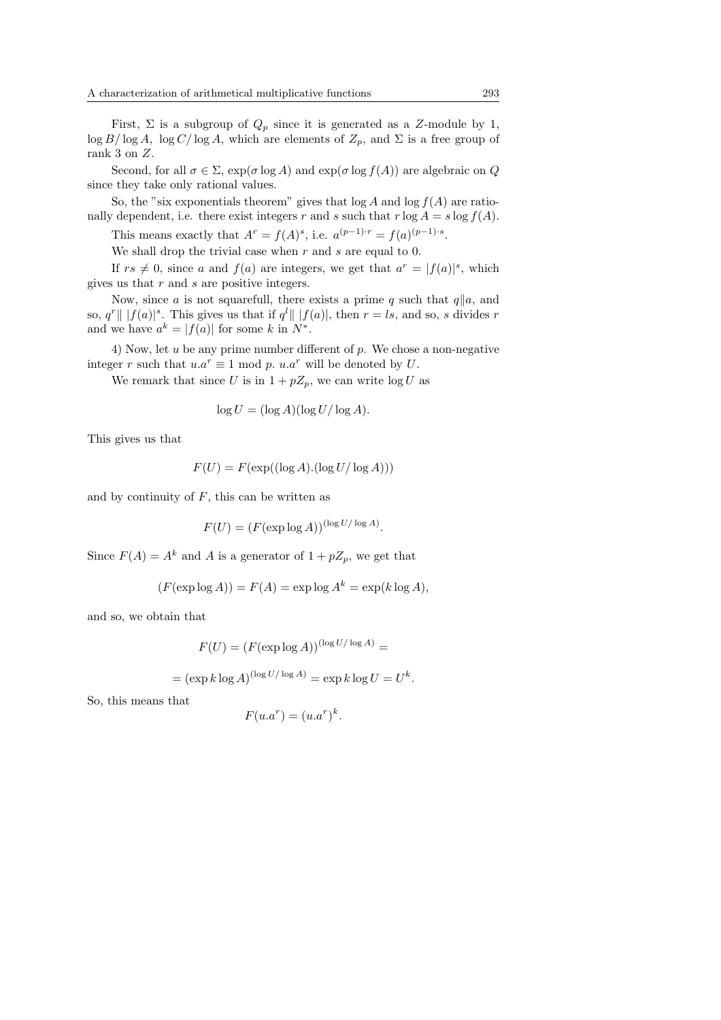First,  $\Sigma$  is a subgroup of  $Q_p$  since it is generated as a Z-module by 1,  $\log B/\log A$ ,  $\log C/\log A$ , which are elements of  $Z_p$ , and  $\Sigma$  is a free group of rank 3 on Z.

Second, for all  $\sigma \in \Sigma$ ,  $\exp(\sigma \log A)$  and  $\exp(\sigma \log f(A))$  are algebraic on Q since they take only rational values.

So, the "six exponentials theorem" gives that  $log A$  and  $log f(A)$  are rationally dependent, i.e. there exist integers r and s such that  $r \log A = s \log f(A)$ .

This means exactly that  $A^r = f(A)^s$ , i.e.  $a^{(p-1)\cdot r} = f(a)^{(p-1)\cdot s}$ .

We shall drop the trivial case when  $r$  and  $s$  are equal to 0.

If  $rs \neq 0$ , since a and  $f(a)$  are integers, we get that  $a^r = |f(a)|^s$ , which gives us that  $r$  and  $s$  are positive integers.

Now, since a is not squarefull, there exists a prime q such that  $q||a$ , and so,  $q^r \| |f(a)|^s$ . This gives us that if  $q^l \| |f(a)|$ , then  $r = ls$ , and so, s divides r and we have  $a^k = |f(a)|$  for some k in  $N^*$ .

4) Now, let u be any prime number different of p. We chose a non-negative integer r such that  $u.a^r \equiv 1 \mod p$ .  $u.a^r$  will be denoted by U.

We remark that since U is in  $1 + pZ_n$ , we can write  $\log U$  as

$$
\log U = (\log A)(\log U/\log A).
$$

This gives us that

$$
F(U) = F(\exp((\log A).(\log U/\log A)))
$$

and by continuity of  $F$ , this can be written as

$$
F(U) = (F(\exp \log A))^{(\log U/\log A)}.
$$

Since  $F(A) = A^k$  and A is a generator of  $1 + pZ_p$ , we get that

$$
(F(\exp\log A)) = F(A) = \exp\log A^k = \exp(k\log A),
$$

and so, we obtain that

$$
F(U) = (F(\exp \log A))^{(\log U/\log A)} =
$$

 $= (\exp k \log A)^{(\log U/\log A)} = \exp k \log U = U^k.$ 

So, this means that

$$
F(u.a^r) = (u.a^r)^k.
$$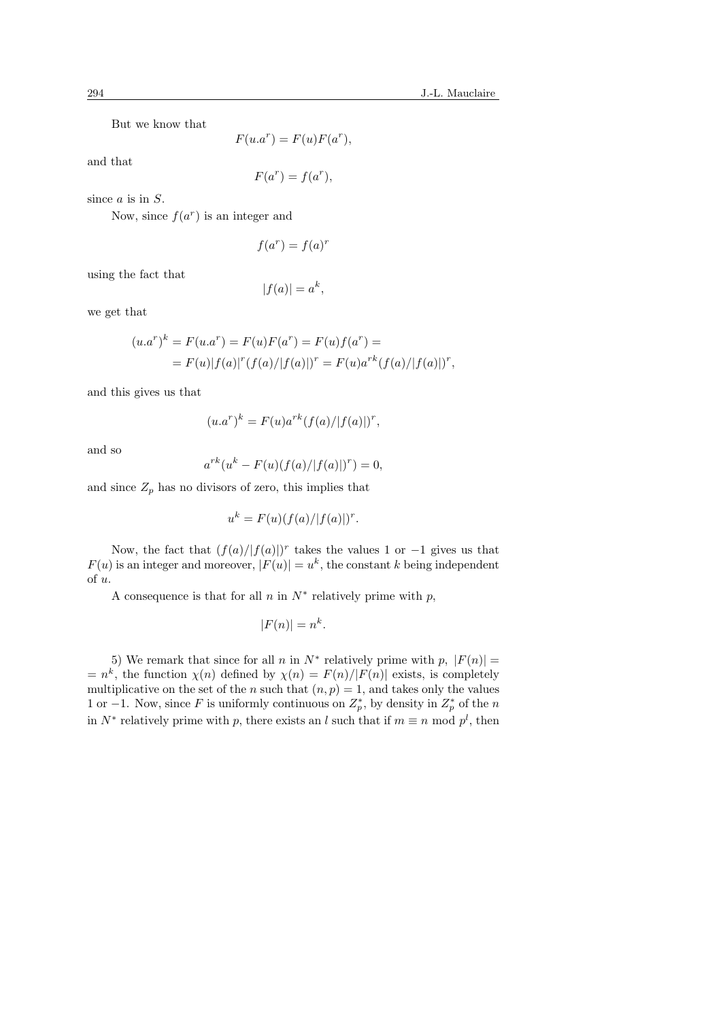But we know that

$$
F(u.a^r) = F(u)F(a^r),
$$

and that

$$
F(a^r) = f(a^r),
$$

since  $a$  is in  $S$ .

Now, since  $f(a^r)$  is an integer and

$$
f(a^r) = f(a)^r
$$

using the fact that

$$
|f(a)| = a^k,
$$

we get that

$$
(u.ar)k = F(u.ar) = F(u)F(ar) = F(u)f(ar) =
$$
  
= F(u)|f(a)|<sup>r</sup>(f(a)/|f(a)|)<sup>r</sup> = F(u)a<sup>rk</sup>(f(a)/|f(a)|)<sup>r</sup>,

and this gives us that

$$
(u.ar)k = F(u)ark(f(a)/|f(a)|)r,
$$

and so

$$
a^{rk}(u^k - F(u)(f(a)/|f(a)|)^r) = 0,
$$

and since  $Z_p$  has no divisors of zero, this implies that

$$
u^k = F(u)(f(a)/|f(a)|)^r.
$$

Now, the fact that  $(f(a)/|f(a)|)^r$  takes the values 1 or -1 gives us that  $F(u)$  is an integer and moreover,  $|F(u)| = u^k$ , the constant k being independent of u.

A consequence is that for all  $n$  in  $N^*$  relatively prime with  $p$ ,

$$
|F(n)| = n^k.
$$

5) We remark that since for all n in  $N^*$  relatively prime with  $p, |F(n)| =$  $=n^k$ , the function  $\chi(n)$  defined by  $\chi(n) = F(n)/|F(n)|$  exists, is completely multiplicative on the set of the n such that  $(n, p) = 1$ , and takes only the values 1 or −1. Now, since F is uniformly continuous on  $Z_p^*$ , by density in  $Z_p^*$  of the n in  $N^*$  relatively prime with p, there exists an l such that if  $m \equiv n \mod p^l$ , then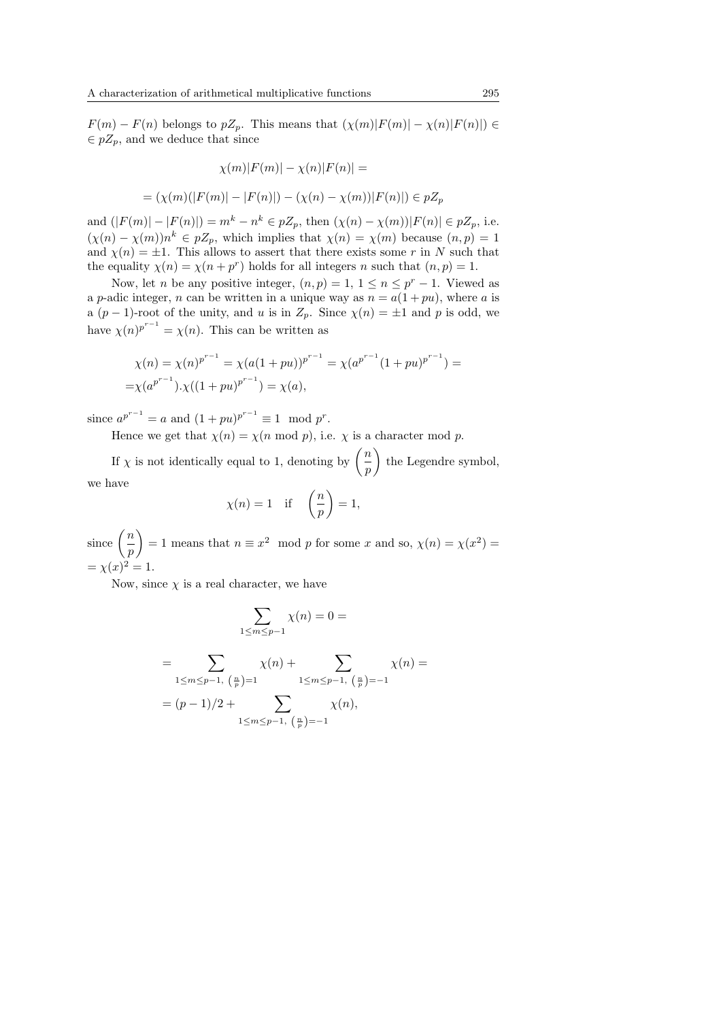$F(m) - F(n)$  belongs to  $pZ_p$ . This means that  $(\chi(m)|F(m)| - \chi(n)|F(n)|) \in$  $\in pZ_p$ , and we deduce that since

$$
\chi(m)|F(m)| - \chi(n)|F(n)| =
$$
  
=  $(\chi(m)(|F(m)| - |F(n)|) - (\chi(n) - \chi(m))|F(n)|) \in pZ_p$ 

and  $(|F(m)| - |F(n)|) = m^k - n^k \in pZ_p$ , then  $(\chi(n) - \chi(m)) |F(n)| \in pZ_p$ , i.e.  $(\chi(n) - \chi(m))n^k \in p\mathbb{Z}_p$ , which implies that  $\chi(n) = \chi(m)$  because  $(n, p) = 1$ and  $\chi(n) = \pm 1$ . This allows to assert that there exists some r in N such that the equality  $\chi(n) = \chi(n + p^r)$  holds for all integers n such that  $(n, p) = 1$ .

Now, let *n* be any positive integer,  $(n, p) = 1, 1 \le n \le p^r - 1$ . Viewed as a p-adic integer, n can be written in a unique way as  $n = a(1 + pu)$ , where a is a  $(p-1)$ -root of the unity, and u is in  $Z_p$ . Since  $\chi(n) = \pm 1$  and p is odd, we have  $\chi(n)^{p^{r-1}} = \chi(n)$ . This can be written as

$$
\chi(n) = \chi(n)^{p^{r-1}} = \chi(a(1+pu))^{p^{r-1}} = \chi(a^{p^{r-1}}(1+pu)^{p^{r-1}}) =
$$
  
= 
$$
\chi(a^{p^{r-1}}).\chi((1+pu)^{p^{r-1}}) = \chi(a),
$$

since  $a^{p^{r-1}} = a$  and  $(1 + pu)^{p^{r-1}} \equiv 1 \mod p^r$ .

Hence we get that  $\chi(n) = \chi(n \mod p)$ , i.e.  $\chi$  is a character mod p.

If  $\chi$  is not identically equal to 1, denoting by  $\binom{n}{k}$  $\left(\frac{n}{p}\right)$  the Legendre symbol, we have  $\mathbf{r}$ 

$$
\chi(n) = 1
$$
 if  $\left(\frac{n}{p}\right) = 1$ ,

since  $\left(\frac{n}{2}\right)$ p  $\mathbf{r}$  $= 1$  means that  $n \equiv x^2 \mod p$  for some x and so,  $\chi(n) = \chi(x^2)$  $=\chi(x)^2=1.$ 

Now, since  $\chi$  is a real character, we have

$$
\sum_{1 \le m \le p-1} \chi(n) = 0 =
$$
\n
$$
= \sum_{1 \le m \le p-1, \ (\frac{n}{p})=1} \chi(n) + \sum_{1 \le m \le p-1, \ (\frac{n}{p})=-1} \chi(n) =
$$
\n
$$
= (p-1)/2 + \sum_{1 \le m \le p-1, \ (\frac{n}{p})=-1} \chi(n),
$$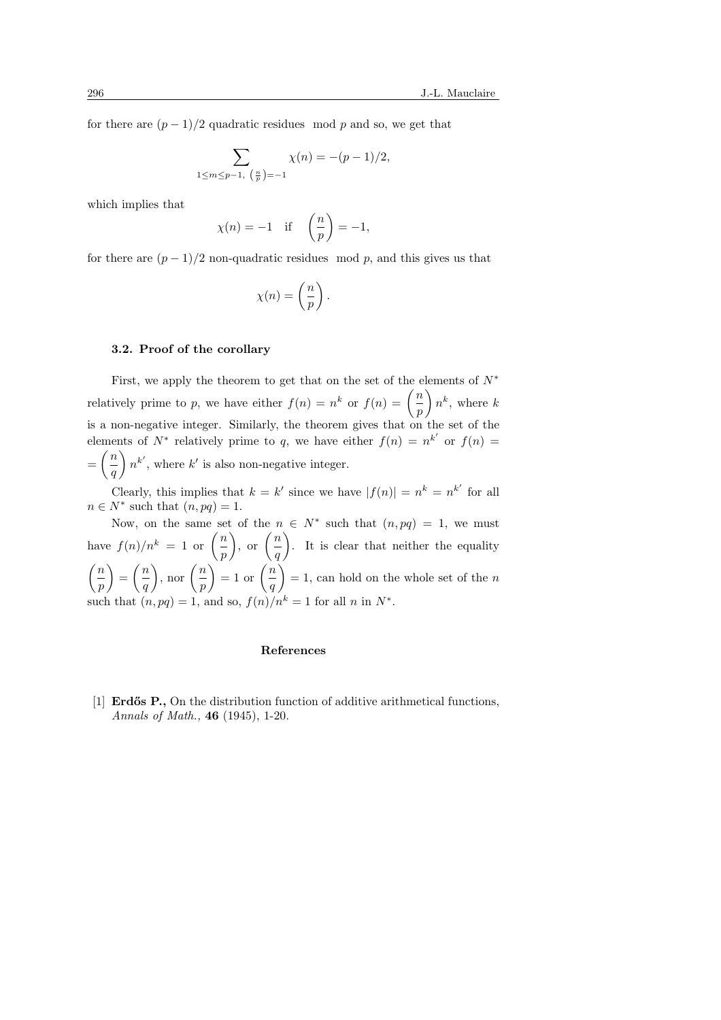for there are  $(p-1)/2$  quadratic residues mod p and so, we get that

$$
\sum_{1 \le m \le p-1, \ (\frac{n}{p})=-1} \chi(n) = -(p-1)/2,
$$

which implies that

$$
\chi(n) = -1
$$
 if  $\left(\frac{n}{p}\right) = -1$ ,

for there are  $(p-1)/2$  non-quadratic residues mod p, and this gives us that

$$
\chi(n)=\left(\frac{n}{p}\right).
$$

#### 3.2. Proof of the corollary

First, we apply the theorem to get that on the set of the elements of  $N^*$ r irst, we apply the theorem to get that on the set of the  $\epsilon$ <br>relatively prime to p, we have either  $f(n) = n^k$  or  $f(n) = \left(\frac{n}{n}\right)$  $\left(\frac{n}{p}\right)n^k$ , where k is a non-negative integer. Similarly, the theorem gives that on the set of the elements of  $N^*$  relatively prime to q, we have either  $f(n) = n^{k'}$  or  $f(n) = \binom{k}{k}$  $=\left(\frac{n}{2}\right)$  $\left(\frac{h}{q}\right)n^{k'}$ , where k' is also non-negative integer.

Clearly, this implies that  $k = k'$  since we have  $|f(n)| = n^k = n^{k'}$  for all  $n \in N^*$  such that  $(n, pq) = 1$ .

Now, on the same set of the  $n \in N^*$  such that  $(n, pq) = 1$ , we must have  $f(n)/n^k = 1$  or  $\left(\frac{n}{n}\right)$ p  $\int$ , or  $\left(\frac{n}{2}\right)$ q  $\mathbb{C}^{\mathbb{Z}}$ . It is clear that neither the equality  $\sqrt{n}$ p  $\mathbf{r}$ =  $\sqrt{n}$ q  $\Big)$ , nor  $\Big(\frac{n}{2}\Big)$ p  $\binom{p}{p}$ <br>= 1 or  $\binom{n}{p}$ q  $\mathcal{L}$  $= 1$ , can hold on the whole set of the n such that  $(n, pq) = 1$ , and so,  $f(n)/n^k = 1$  for all n in  $N^*$ .

#### References

[1] **Erdős P.**, On the distribution function of additive arithmetical functions, Annals of Math., 46 (1945), 1-20.